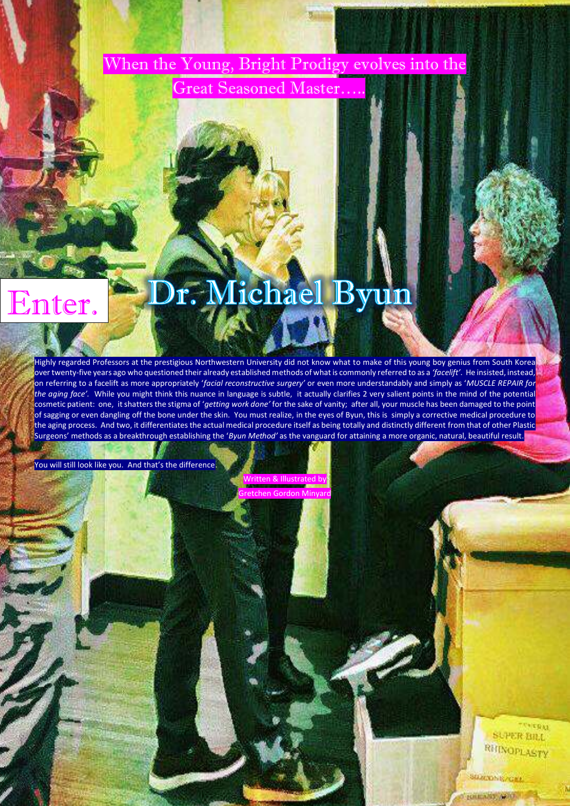When the Young, Bright Prodigy evolves into the

Great Seasoned Master...

## Dr. Michael Byun Enter.

Highly regarded Professors at the prestigious Northwestern University did not know what to make of this young boy genius from South Korea over twenty-five years ago who questioned their already established methods of what is commonly referred to as a 'facelift'. He insisted, instead, on referring to a facelift as more appropriately 'facial reconstructive surgery' or even more understandably and simply as 'MUSCLE REPAIR for the aging face'. While you might think this nuance in language is subtle, it actually clarifies 2 very salient points in the mind of the potential cosmetic patient: one, it shatters the stigma of 'getting work done' for the sake of vanity; after all, your muscle has been damaged to the point of sagging or even dangling off the bone under the skin. You must realize, in the eyes of Byun, this is simply a corrective medical procedure to the aging process. And two, it differentiates the actual medical procedure itself as being totally and distinctly different from that of other Plastic Surgeons' methods as a breakthrough establishing the 'Byun Method' as the vanguard for attaining a more organic, natural, beautiful result.

You will still look like you. And that's the difference.

Written & Illustrated by Gretchen Gordon Minyard

> TERRAI **SUPER BILL** RHINOPLASTY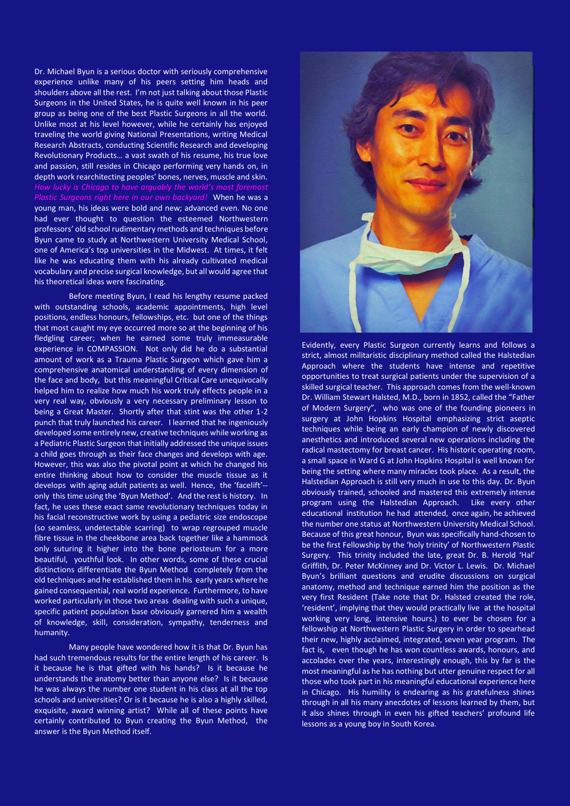Dr. Michael Byun is a serious doctor with seriously comprehensive experience unlike many of his peers setting him heads and shoulders above all the rest. I'm not just talking about those Plastic Surgeons in the United States, he is quite well known in his peer group as being one of the best Plastic Surgeons in all the world. Unlike most at his level however, while he certainly has enjoyed traveling the world giving National Presentations, writing Medical Research Abstracts, conducting Scientific Research and developing Revolutionary Products... a vast swath of his resume, his true love and passion, still resides in Chicago performing very hands on, in depth work rearchitecting peoples' bones, nerves, muscle and skin. *Plastic Surgeons right here in our own backyard!* When he was a young man, his ideas were bold and new; advanced even. No one had ever thought to question the esteemed Northwestern professors' old school rudimentary methods and techniques before Byun came to study at Northwestern University Medical School, one of America's top universities in the Midwest. At times, it felt like he was educating them with his already cultivated medical vocabulary and precise surgical knowledge, but all would agree that his theoretical ideas were fascinating.

Before meeting Byun, I read his lengthy resume packed with outstanding schools, academic appointments, high level positions, endless honours, fellowships, etc. but one of the things that most caught my eye occurred more so at the beginning of his fledgling career; when he earned some truly immeasurable experience in COMPASSION. Not only did he do a substantial amount of work as a Trauma Plastic Surgeon which gave him a comprehensive anatomical understanding of every dimension of the face and body, but this meaningful Critical Care unequivocally helped him to realize how much his work truly effects people in a very real way, obviously a very necessary preliminary lesson to being a Great Master. Shortly after that stint was the other 1-2 punch that truly launched his career. I learned that he ingeniously developed some entirely new, creative techniques while working as a Pediatric Plastic Surgeon that initially addressed the unique issues a child goes through as their face changes and develops with age. However, this was also the pivotal point at which he changed his entire thinking about how to consider the muscle tissue as it develops with aging adult patients as well. Hence, the 'facelift'-only this time using the 'Byun Method'. And the rest is history. In fact, he uses these exact same revolutionary techniques today in his facial reconstructive work by using a pediatric size endoscope (so seamless, undetectable scarring) to wrap regrouped muscle fibre tissue in the cheekbone area back together like a hammock only suturing it higher into the bone periosteum for a more beautiful, youthful look. In other words, some of these crucial distinctions differentiate the Byun Method completely from the old techniques and he established them in his early years where he gained consequential, real world experience. Furthermore, to have worked particularly in those two areas dealing with such a unique, specific patient population base obviously garnered him a wealth of knowledge, skill, consideration, sympathy, tenderness and humanity.

Many people have wondered how it is that Dr. Byun has had such tremendous results for the entire length of his career. Is it because he is that gifted with his hands? Is it because he understands the anatomy better than anyone else? Is it because he was always the number one student in his class at all the top schools and universities? Or is it because he is also a highly skilled, exquisite, award winning artist? While all of these points have certainly contributed to Byun creating the Byun Method, the answer is the Byun Method itself.



Evidently, every Plastic Surgeon currently learns and follows a strict, almost militaristic disciplinary method called the Halstedian Approach where the students have intense and repetitive opportunities to treat surgical patients under the supervision of a skilled surgical teacher. This approach comes from the well-known Dr. William Stewart Halsted, M.D., born in 1852, called the "Father of Modern Surgery", who was one of the founding pioneers in surgery at John Hopkins Hospital emphasizing strict aseptic techniques while being an early champion of newly discovered anesthetics and introduced several new operations including the radical mastectomy for breast cancer. His historic operating room, a small space in Ward G at John Hopkins Hospital is well known for being the setting where many miracles took place. As a result, the Halstedian Approach is still very much in use to this day. Dr. Byun obviously trained, schooled and mastered this extremely intense program using the Halstedian Approach. Like every other educational institution he had attended, once again, he achieved the number one status at Northwestern University Medical School. Because of this great honour, Byun was specifically hand-chosen to be the first Fellowship by the 'holy trinity' of Northwestern Plastic Surgery. This trinity included the late, great Dr. B. Herold 'Hal' Griffith, Dr. Peter McKinney and Dr. Victor L. Lewis. Dr. Michael Byun's brilliant questions and erudite discussions on surgical anatomy, method and technique earned him the position as the very first Resident (Take note that Dr. Halsted created the role, 'resident', implying that they would practically live at the hospital working very long, intensive hours.) to ever be chosen for a fellowship at Northwestern Plastic Surgery in order to spearhead their new, highly acclaimed, integrated, seven year program. The fact is, even though he has won countless awards, honours, and accolades over the years, interestingly enough, this by far is the most meaningful as he has nothing but utter genuine respect for all those who took part in his meaningful educational experience here in Chicago. His humility is endearing as his gratefulness shines through in all his many anecdotes of lessons learned by them, but it also shines through in even his gifted teachers' profound life lessons as a young boy in South Korea.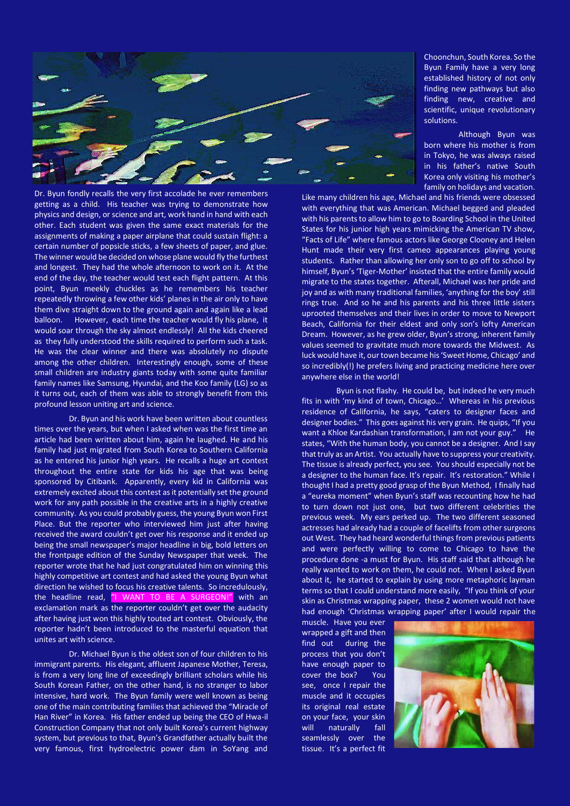

Dr. Byun fondly recalls the very first accolade he ever remembers getting as a child. His teacher was trying to demonstrate how physics and design, or science and art, work hand in hand with each other. Each student was given the same exact materials for the assignments of making a paper airplane that could sustain flight: a certain number of popsicle sticks, a few sheets of paper, and glue. The winner would be decided on whose plane would fly the furthest and longest. They had the whole afternoon to work on it. At the end of the day, the teacher would test each flight pattern. At this point, Byun meekly chuckles as he remembers his teacher repeatedly throwing a few other kids' planes in the air only to have them dive straight down to the ground again and again like a lead balloon. However, each time the teacher would fly his plane, it would soar through the sky almost endlessly! All the kids cheered as they fully understood the skills required to perform such a task. He was the clear winner and there was absolutely no dispute among the other children. Interestingly enough, some of these small children are industry giants today with some quite familiar family names like Samsung, Hyundai, and the Koo family (LG) so as it turns out, each of them was able to strongly benefit from this profound lesson uniting art and science.

Dr. Byun and his work have been written about countless times over the years, but when I asked when was the first time an article had been written about him, again he laughed. He and his family had just migrated from South Korea to Southern California as he entered his junior high years. He recalls a huge art contest throughout the entire state for kids his age that was being sponsored by Citibank. Apparently, every kid in California was extremely excited about this contest as it potentially set the ground work for any path possible in the creative arts in a highly creative community. As you could probably guess, the young Byun won First Place. But the reporter who interviewed him just after having received the award couldn't get over his response and it ended up being the small newspaper's major headline in big, bold letters on the frontpage edition of the Sunday Newspaper that week. The reporter wrote that he had just congratulated him on winning this highly competitive art contest and had asked the young Byun what direction he wished to focus his creative talents. So incredulously, the headline read, "I WANT TO BE A SURGEON!" with an exclamation mark as the reporter couldn't get over the audacity after having just won this highly touted art contest. Obviously, the reporter hadn't been introduced to the masterful equation that unites art with science.

Dr. Michael Byun is the oldest son of four children to his immigrant parents. His elegant, affluent Japanese Mother, Teresa, is from a very long line of exceedingly brilliant scholars while his South Korean Father, on the other hand, is no stranger to labor intensive, hard work. The Byun family were well known as being one of the main contributing families that achieved the "Miracle of Han River" in Korea. His father ended up being the CEO of Hwa-il Construction Company that not only built Korea's current highway system, but previous to that, Byun's Grandfather actually built the very famous, first hydroelectric power dam in SoYang and

Choonchun, South Korea. So the Byun Family have a very long established history of not only finding new pathways but also finding new, creative and scientific, unique revolutionary solutions.

Although Byun was born where his mother is from in Tokyo, he was always raised in his father's native South Korea only visiting his mother's family on holidays and vacation.

Like many children his age, Michael and his friends were obsessed with everything that was American. Michael begged and pleaded with his parents to allow him to go to Boarding School in the United States for his junior high years mimicking the American TV show, "Facts of Life" where famous actors like George Clooney and Helen Hunt made their very first cameo appearances playing young students. Rather than allowing her only son to go off to school by himself, Byun's 'Tiger-Mother' insisted that the entire family would migrate to the states together. Afterall, Michael was her pride and jov and as with many traditional families. 'anything for the boy' still rings true. And so he and his parents and his three little sisters uprooted themselves and their lives in order to move to Newport Beach, California for their eldest and only son's lofty American Dream. However, as he grew older, Byun's strong, inherent family values seemed to gravitate much more towards the Midwest. As luck would have it, our town became his 'Sweet Home, Chicago' and so incredibly(!) he prefers living and practicing medicine here over anywhere else in the world!

Byun is not flashy. He could be, but indeed he very much fits in with 'my kind of town, Chicago...' Whereas in his previous residence of California, he says, "caters to designer faces and designer bodies." This goes against his very grain. He quips, "If you want a Khloe Kardashian transformation, I am not your guy." He states, "With the human body, you cannot be a designer. And I say that truly as an Artist. You actually have to suppress your creativity. The tissue is already perfect, you see. You should especially not be a designer to the human face. It's repair. It's restoration." While I thought I had a pretty good grasp of the Byun Method, I finally had a "eureka moment" when Byun's staff was recounting how he had to turn down not just one, but two different celebrities the previous week. My ears perked up. The two different seasoned actresses had already had a couple of facelifts from other surgeons out West. They had heard wonderful things from previous patients and were perfectly willing to come to Chicago to have the procedure done -a must for Byun. His staff said that although he really wanted to work on them, he could not. When I asked Byun about it, he started to explain by using more metaphoric layman terms so that I could understand more easily, "If you think of your skin as Christmas wrapping paper, these 2 women would not have had enough 'Christmas wrapping paper' after I would repair the

muscle. Have you ever wrapped a gift and then find out during the process that you don't have enough paper to cover the box? You see, once I repair the muscle and it occupies its original real estate on your face, your skin will naturally fall seamlessly over the tissue. It's a perfect fit